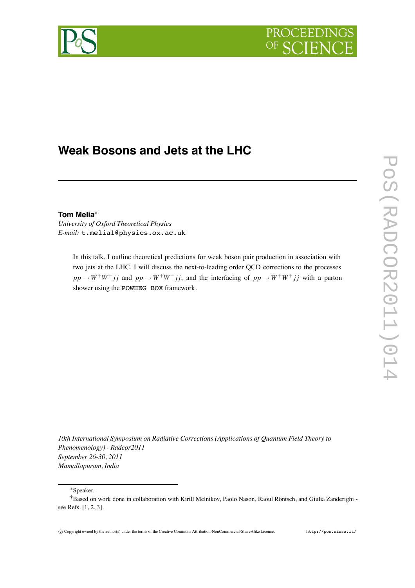

# **Weak Bosons and Jets at the LHC**

# **Tom Melia**∗†

*University of Oxford Theoretical Physics E-mail:* t.melia1@physics.ox.ac.uk

> In this talk, I outline theoretical predictions for weak boson pair production in association with two jets at the LHC. I will discuss the next-to-leading order QCD corrections to the processes  $pp \rightarrow W^+W^+jj$  and  $pp \rightarrow W^+W^-jj$ , and the interfacing of  $pp \rightarrow W^+W^+jj$  with a parton shower using the POWHEG BOX framework.

*10th International Symposium on Radiative Corrections (Applications of Quantum Field Theory to Phenomenology) - Radcor2011 September 26-30, 2011 Mamallapuram, India*

## ∗Speaker.

<sup>†</sup>Based on work done in collaboration with Kirill Melnikov, Paolo Nason, Raoul Röntsch, and Giulia Zanderighi see Refs. [1, 2, 3].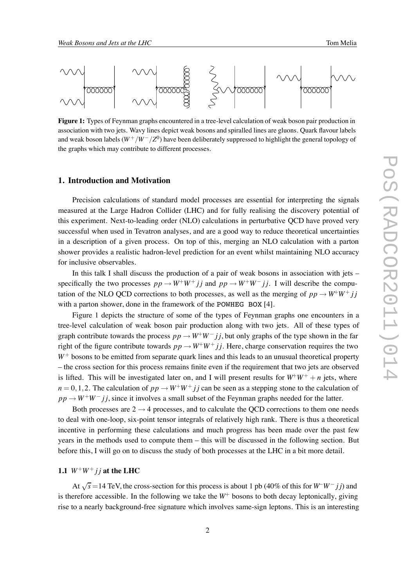

**Figure 1:** Types of Feynman graphs encountered in a tree-level calculation of weak boson pair production in association with two jets. Wavy lines depict weak bosons and spiralled lines are gluons. Quark flavour labels and weak boson labels  $(W^+/W^-/Z^0)$  have been deliberately suppressed to highlight the general topology of the graphs which may contribute to different processes.

### **1. Introduction and Motivation**

Precision calculations of standard model processes are essential for interpreting the signals measured at the Large Hadron Collider (LHC) and for fully realising the discovery potential of this experiment. Next-to-leading order (NLO) calculations in perturbative QCD have proved very successful when used in Tevatron analyses, and are a good way to reduce theoretical uncertainties in a description of a given process. On top of this, merging an NLO calculation with a parton shower provides a realistic hadron-level prediction for an event whilst maintaining NLO accuracy for inclusive observables.

In this talk I shall discuss the production of a pair of weak bosons in association with jets – specifically the two processes  $pp \rightarrow W^+W^+ jj$  and  $pp \rightarrow W^+W^- jj$ . I will describe the computation of the NLO QCD corrections to both processes, as well as the merging of  $pp \rightarrow W^+W^+ jj$ with a parton shower, done in the framework of the POWHEG BOX [4].

Figure 1 depicts the structure of some of the types of Feynman graphs one encounters in a tree-level calculation of weak boson pair production along with two jets. All of these types of graph contribute towards the process  $pp \rightarrow W^+W^- jj$ , but only graphs of the type shown in the far right of the figure contribute towards  $pp \rightarrow W^+W^+ jj$ . Here, charge conservation requires the two *W*<sup>+</sup> bosons to be emitted from separate quark lines and this leads to an unusual theoretical property – the cross section for this process remains finite even if the requirement that two jets are observed is lifted. This will be investigated later on, and I will present results for  $W^+W^+ + n$  jets, where  $n = 0, 1, 2$ . The calculation of  $pp \rightarrow W^+W^+jj$  can be seen as a stepping stone to the calculation of  $pp \rightarrow W^+W^- jj$ , since it involves a small subset of the Feynman graphs needed for the latter.

Both processes are  $2 \rightarrow 4$  processes, and to calculate the OCD corrections to them one needs to deal with one-loop, six-point tensor integrals of relatively high rank. There is thus a theoretical incentive in performing these calculations and much progress has been made over the past few years in the methods used to compute them – this will be discussed in the following section. But before this, I will go on to discuss the study of both processes at the LHC in a bit more detail.

# **1.1**  $W^+W^+$  *j j* at the LHC

At √*s* =14 TeV, the cross-section for this process is about 1 pb (40% of this for *W*−*W*<sup>−</sup> *j j*) and is therefore accessible. In the following we take the  $W^+$  bosons to both decay leptonically, giving rise to a nearly background-free signature which involves same-sign leptons. This is an interesting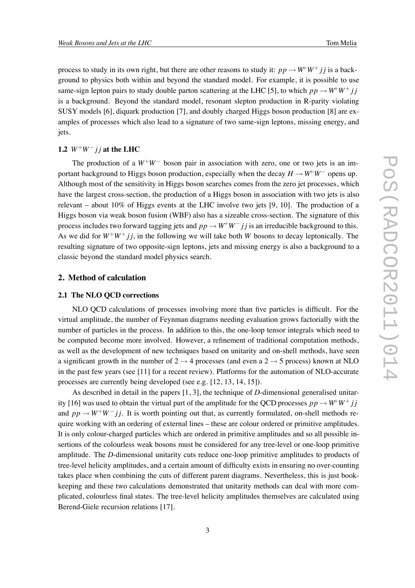process to study in its own right, but there are other reasons to study it:  $pp \rightarrow W^+W^+ j j$  is a background to physics both within and beyond the standard model. For example, it is possible to use same-sign lepton pairs to study double parton scattering at the LHC [5], to which  $pp \rightarrow W^+W^+ i j$ is a background. Beyond the standard model, resonant slepton production in R-parity violating SUSY models [6], diquark production [7], and doubly charged Higgs boson production [8] are examples of processes which also lead to a signature of two same-sign leptons, missing energy, and jets.

# 1.2  $W^+W^-$  *j j* at the LHC

The production of a  $W^+W^-$  boson pair in association with zero, one or two jets is an important background to Higgs boson production, especially when the decay  $H \to W^+W^-$  opens up. Although most of the sensitivity in Higgs boson searches comes from the zero jet processes, which have the largest cross-section, the production of a Higgs boson in association with two jets is also relevant – about 10% of Higgs events at the LHC involve two jets [9, 10]. The production of a Higgs boson via weak boson fusion (WBF) also has a sizeable cross-section. The signature of this process includes two forward tagging jets and  $pp \rightarrow W^+W^- j j$  is an irreducible background to this. As we did for  $W^+W^+$  *j j*, in the following we will take both *W* bosons to decay leptonically. The resulting signature of two opposite-sign leptons, jets and missing energy is also a background to a classic beyond the standard model physics search.

#### **2. Method of calculation**

#### **2.1 The NLO QCD corrections**

NLO QCD calculations of processes involving more than five particles is difficult. For the virtual amplitude, the number of Feynman diagrams needing evaluation grows factorially with the number of particles in the process. In addition to this, the one-loop tensor integrals which need to be computed become more involved. However, a refinement of traditional computation methods, as well as the development of new techniques based on unitarity and on-shell methods, have seen a significant growth in the number of  $2 \rightarrow 4$  processes (and even a  $2 \rightarrow 5$  process) known at NLO in the past few years (see [11] for a recent review). Platforms for the automation of NLO-accurate processes are currently being developed (see e.g. [12, 13, 14, 15]).

As described in detail in the papers [1, 3], the technique of *D*-dimensional generalised unitarity [16] was used to obtain the virtual part of the amplitude for the QCD processes  $pp \rightarrow W^+W^+$  *j j* and  $pp \rightarrow W^+W^- jj$ . It is worth pointing out that, as currently formulated, on-shell methods require working with an ordering of external lines – these are colour ordered or primitive amplitudes. It is only colour-charged particles which are ordered in primitive amplitudes and so all possible insertions of the colourless weak bosons must be considered for any tree-level or one-loop primitive amplitude. The *D*-dimensional unitarity cuts reduce one-loop primitive amplitudes to products of tree-level helicity amplitudes, and a certain amount of difficulty exists in ensuring no over-counting takes place when combining the cuts of different parent diagrams. Nevertheless, this is just bookkeeping and these two calculations demonstrated that unitarity methods can deal with more complicated, colourless final states. The tree-level helicity amplitudes themselves are calculated using Berend-Giele recursion relations [17].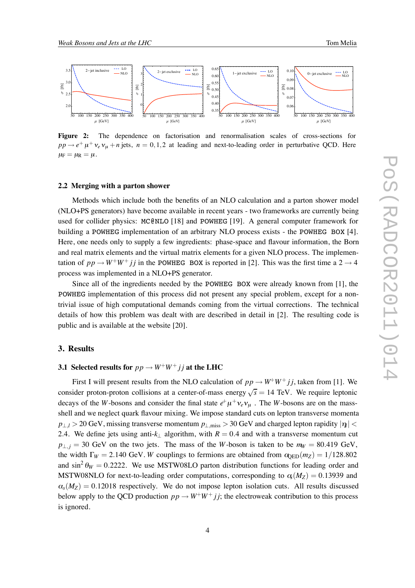

**Figure 2:** The dependence on factorisation and renormalisation scales of cross-sections for  $pp \rightarrow e^+ \mu^+ \nu_e \nu_\mu + n$  jets,  $n = 0, 1, 2$  at leading and next-to-leading order in perturbative QCD. Here  $\mu_F = \mu_R = \mu$ .

#### **2.2 Merging with a parton shower**

Methods which include both the benefits of an NLO calculation and a parton shower model (NLO+PS generators) have become available in recent years - two frameworks are currently being used for collider physics: MC@NLO [18] and POWHEG [19]. A general computer framework for building a POWHEG implementation of an arbitrary NLO process exists - the POWHEG BOX [4]. Here, one needs only to supply a few ingredients: phase-space and flavour information, the Born and real matrix elements and the virtual matrix elements for a given NLO process. The implementation of  $pp \rightarrow W^+W^+ jj$  in the POWHEG BOX is reported in [2]. This was the first time a 2  $\rightarrow$  4 process was implemented in a NLO+PS generator.

Since all of the ingredients needed by the POWHEG BOX were already known from [1], the POWHEG implementation of this process did not present any special problem, except for a nontrivial issue of high computational demands coming from the virtual corrections. The technical details of how this problem was dealt with are described in detail in [2]. The resulting code is public and is available at the website [20].

# **3. Results**

# **3.1 Selected results for**  $pp \rightarrow W^+W^+$  *j j* at the LHC

First I will present results from the NLO calculation of  $pp \rightarrow W^+W^+$  *jj*, taken from [1]. We consider proton-proton collisions at a center-of-mass energy  $\sqrt{s} = 14$  TeV. We require leptonic decays of the *W*-bosons and consider the final state  $e^{\dagger} \mu^+ v_e v_{\mu}$ . The *W*-bosons are on the massshell and we neglect quark flavour mixing. We impose standard cuts on lepton transverse momenta  $p_{\perp}$  > 20 GeV, missing transverse momentum  $p_{\perp}$  miss > 30 GeV and charged lepton rapidity  $|\eta|$  < 2.4. We define jets using anti- $k_{\perp}$  algorithm, with  $R = 0.4$  and with a transverse momentum cut  $p_{\perp i} = 30$  GeV on the two jets. The mass of the *W*-boson is taken to be  $m_W = 80.419$  GeV, the width  $\Gamma_W = 2.140 \text{ GeV}$ . *W* couplings to fermions are obtained from  $\omega_{\text{ED}}(m_Z) = 1/128.802$ and  $\sin^2 \theta_W = 0.2222$ . We use MSTW08LO parton distribution functions for leading order and MSTW08NLO for next-to-leading order computations, corresponding to  $\alpha(M_Z) = 0.13939$  and  $\alpha_{s}(M_{Z}) = 0.12018$  respectively. We do not impose lepton isolation cuts. All results discussed below apply to the QCD production  $pp \rightarrow W^+W^+ jj$ ; the electroweak contribution to this process is ignored.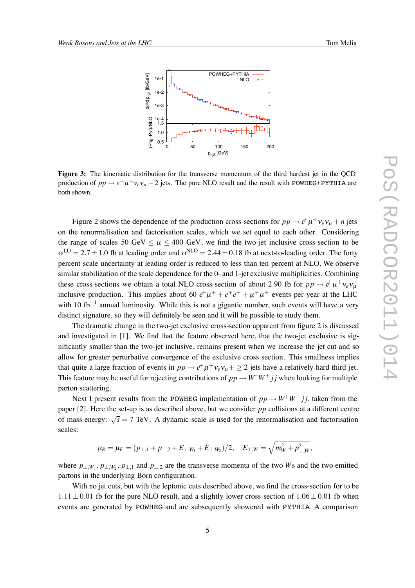

**Figure 3:** The kinematic distribution for the transverse momentum of the third hardest jet in the QCD production of  $pp \rightarrow e^+ \mu^+ \nu_e \nu_\mu + 2$  jets. The pure NLO result and the result with POWHEG+PYTHIA are both shown.

Figure 2 shows the dependence of the production cross-sections for  $pp \to e^+ \mu^+ \nu_e \nu_\mu + n$  jets on the renormalisation and factorisation scales, which we set equal to each other. Considering the range of scales 50 GeV  $\lt \mu \lt 400$  GeV, we find the two-jet inclusive cross-section to be  $\sigma^{LO} = 2.7 \pm 1.0$  fb at leading order and  $\sigma^{NLO} = 2.44 \pm 0.18$  fb at next-to-leading order. The forty percent scale uncertainty at leading order is reduced to less than ten percent at NLO. We observe similar stabilization of the scale dependence for the 0- and 1-jet exclusive multiplicities. Combining these cross-sections we obtain a total NLO cross-section of about 2.90 fb for  $pp \to e^{\dagger} \mu^+ \nu_e \nu_\mu$ inclusive production. This implies about 60  $e^+ \mu^+ + e^+e^+ + \mu^+ \mu^+$  events per year at the LHC with 10 fb<sup>-1</sup> annual luminosity. While this is not a gigantic number, such events will have a very distinct signature, so they will definitely be seen and it will be possible to study them.

The dramatic change in the two-jet exclusive cross-section apparent from figure 2 is discussed and investigated in [1]. We find that the feature observed here, that the two-jet exclusive is significantly smaller than the two-jet inclusive, remains present when we increase the jet cut and so allow for greater perturbative convergence of the exclusive cross section. This smallness implies that quite a large fraction of events in  $pp \to e^+ \mu^+ \nu_e \nu_\mu + \geq 2$  jets have a relatively hard third jet. This feature may be useful for rejecting contributions of  $pp \rightarrow W^+W^+ jj$  when looking for multiple parton scattering.

Next I present results from the POWHEG implementation of  $pp \rightarrow W^+W^+ jj$ , taken from the paper [2]. Here the set-up is as described above, but we consider *pp* collisions at a different centre of mass energy:  $\sqrt{s} = 7$  TeV. A dynamic scale is used for the renormalisation and factorisation scales:

$$
\mu_R = \mu_F = (p_{\perp,1} + p_{\perp,2} + E_{\perp,W_1} + E_{\perp,W_2})/2, \quad E_{\perp,W} = \sqrt{m_W^2 + p_{\perp,W}^2},
$$

where  $p_{\perp,W_1}, p_{\perp,W_2}, p_{\perp,1}$  and  $p_{\perp,2}$  are the transverse momenta of the two *W*s and the two emitted partons in the underlying Born configuration.

With no jet cuts, but with the leptonic cuts described above, we find the cross-section for to be  $1.11 \pm 0.01$  fb for the pure NLO result, and a slightly lower cross-section of  $1.06 \pm 0.01$  fb when events are generated by POWHEG and are subsequently showered with PYTHIA. A comparison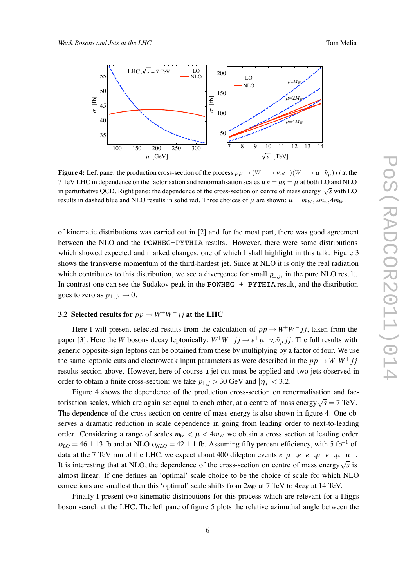

**Figure 4:** Left pane: the production cross-section of the process  $pp \to (W^+ \to \nu_e e^+) (W^- \to \mu^- \bar{\nu}_u) j j$  at the 7 TeV LHC in dependence on the factorisation and renormalisation scales  $\mu_F = \mu_R = \mu$  at both LO and NLO in perturbative QCD. Right pane: the dependence of the cross-section on centre of mass energy  $\sqrt{s}$  with LO results in dashed blue and NLO results in solid red. Three choices of  $\mu$  are shown:  $\mu = m_W, 2m_W, 4m_W$ .

of kinematic distributions was carried out in [2] and for the most part, there was good agreement between the NLO and the POWHEG+PYTHIA results. However, there were some distributions which showed expected and marked changes, one of which I shall highlight in this talk. Figure 3 shows the transverse momentum of the third-hardest jet. Since at NLO it is only the real radiation which contributes to this distribution, we see a divergence for small  $p_{\perp,i}$  in the pure NLO result. In contrast one can see the Sudakov peak in the POWHEG + PYTHIA result, and the distribution goes to zero as  $p_{\perp, j_3} \rightarrow 0$ .

### **3.2 Selected results for**  $pp \rightarrow W^+W^-$  *j j* at the LHC

Here I will present selected results from the calculation of  $pp \rightarrow W^+W^- jj$ , taken from the paper [3]. Here the *W* bosons decay leptonically:  $W^+W^- j j \rightarrow e^+ \mu^- \nu_e \bar{\nu}_\mu j j$ . The full results with generic opposite-sign leptons can be obtained from these by multiplying by a factor of four. We use the same leptonic cuts and electroweak input parameters as were described in the  $pp \rightarrow W^+W^+ jj$ results section above. However, here of course a jet cut must be applied and two jets observed in order to obtain a finite cross-section: we take  $p_{\perp i} > 30$  GeV and  $|\eta_i| < 3.2$ .

Figure 4 shows the dependence of the production cross-section on renormalisation and factorisation scales, which are again set equal to each other, at a centre of mass energy  $\sqrt{s} = 7$  TeV. The dependence of the cross-section on centre of mass energy is also shown in figure 4. One observes a dramatic reduction in scale dependence in going from leading order to next-to-leading order. Considering a range of scales  $m_W < \mu < 4m_W$  we obtain a cross section at leading order  $\sigma_{LO} = 46 \pm 13$  fb and at NLO  $\sigma_{NLO} = 42 \pm 1$  fb. Assuming fifty percent efficiency, with 5 fb<sup>-1</sup> of data at the 7 TeV run of the LHC, we expect about 400 dilepton events  $e^+ \mu^- e^+ e^- e^- \mu^+ e^- \mu^+ \mu^-$ . It is interesting that at NLO, the dependence of the cross-section on centre of mass energy√*s* is almost linear. If one defines an 'optimal' scale choice to be the choice of scale for which NLO corrections are smallest then this 'optimal' scale shifts from  $2m<sub>W</sub>$  at 7 TeV to  $4m<sub>W</sub>$  at 14 TeV.

Finally I present two kinematic distributions for this process which are relevant for a Higgs boson search at the LHC. The left pane of figure 5 plots the relative azimuthal angle between the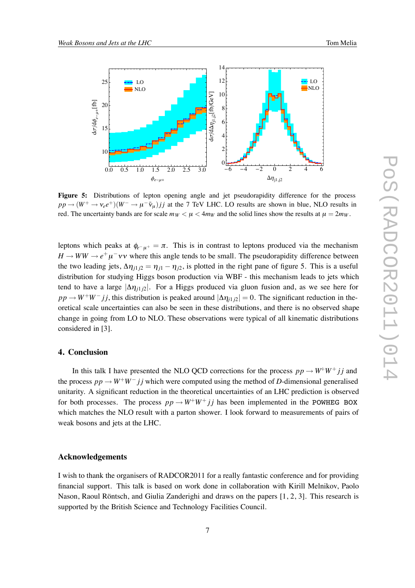

Figure 5: Distributions of lepton opening angle and jet pseudorapidity difference for the process  $pp \to (W^+ \to \nu_e e^+)(W^- \to \mu^- \bar{\nu}_\mu) j j$  at the 7 TeV LHC. LO results are shown in blue, NLO results in red. The uncertainty bands are for scale  $m_W < \mu < 4m_W$  and the solid lines show the results at  $\mu = 2m_W$ .

leptons which peaks at  $\phi_{e^- \mu^+} = \pi$ . This is in contrast to leptons produced via the mechanism  $H \to WW \to e^+\mu^-\nu\bar{\nu}$  where this angle tends to be small. The pseudorapidity difference between the two leading jets,  $\Delta \eta_{j1j2} = \eta_{j1} - \eta_{j2}$ , is plotted in the right pane of figure 5. This is a useful distribution for studying Higgs boson production via WBF - this mechanism leads to jets which tend to have a large  $|\Delta \eta_{i1}|\geq 1$ . For a Higgs produced via gluon fusion and, as we see here for  $pp \rightarrow W^+W^- jj$ , this distribution is peaked around  $|\Delta \eta_{j1j2}| = 0$ . The significant reduction in theoretical scale uncertainties can also be seen in these distributions, and there is no observed shape change in going from LO to NLO. These observations were typical of all kinematic distributions considered in [3].

#### **4. Conclusion**

In this talk I have presented the NLO QCD corrections for the process  $pp \rightarrow W^+W^+$  *j j* and the process  $pp \rightarrow W^+W^- j j$  which were computed using the method of *D*-dimensional generalised unitarity. A significant reduction in the theoretical uncertainties of an LHC prediction is observed for both processes. The process  $pp \rightarrow W^+W^+ jj$  has been implemented in the POWHEG BOX which matches the NLO result with a parton shower. I look forward to measurements of pairs of weak bosons and jets at the LHC.

#### **Acknowledgements**

I wish to thank the organisers of RADCOR2011 for a really fantastic conference and for providing financial support. This talk is based on work done in collaboration with Kirill Melnikov, Paolo Nason, Raoul Röntsch, and Giulia Zanderighi and draws on the papers [1, 2, 3]. This research is supported by the British Science and Technology Facilities Council.